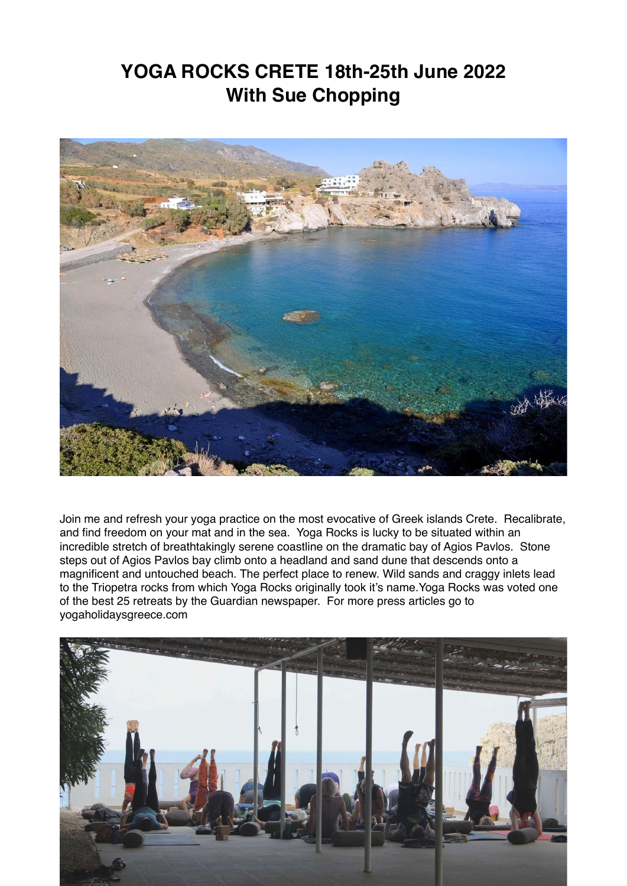# **YOGA ROCKS CRETE 18th-25th June 2022 With Sue Chopping**



Join me and refresh your yoga practice on the most evocative of Greek islands Crete. Recalibrate, and find freedom on your mat and in the sea. Yoga Rocks is lucky to be situated within an incredible stretch of breathtakingly serene coastline on the dramatic bay of Agios Pavlos. Stone steps out of Agios Pavlos bay climb onto a headland and sand dune that descends onto a magnificent and untouched beach. The perfect place to renew. Wild sands and craggy inlets lead to the Triopetra rocks from which Yoga Rocks originally took it's name.Yoga Rocks was voted one of the best 25 retreats by the Guardian newspaper. For more press articles go to yogaholidaysgreece.com

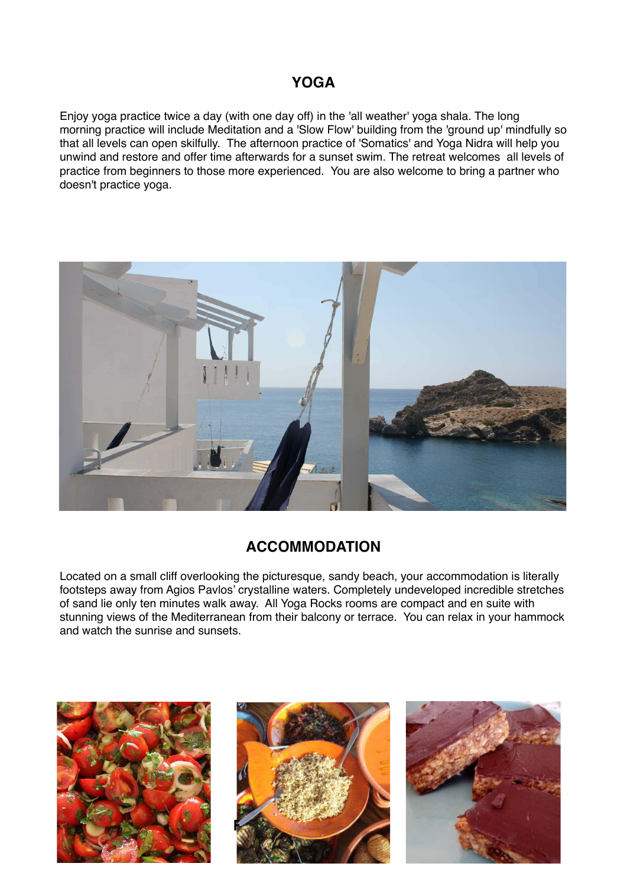## **YOGA**

Enjoy yoga practice twice a day (with one day off) in the 'all weather' yoga shala. The long morning practice will include Meditation and a 'Slow Flow' building from the 'ground up' mindfully so that all levels can open skilfully. The afternoon practice of 'Somatics' and Yoga Nidra will help you unwind and restore and offer time afterwards for a sunset swim. The retreat welcomes all levels of practice from beginners to those more experienced. You are also welcome to bring a partner who doesn't practice yoga.



## **ACCOMMODATION**

Located on a small cliff overlooking the picturesque, sandy beach, your accommodation is literally footsteps away from Agios Pavlos' crystalline waters. Completely undeveloped incredible stretches of sand lie only ten minutes walk away. All Yoga Rocks rooms are compact and en suite with stunning views of the Mediterranean from their balcony or terrace. You can relax in your hammock and watch the sunrise and sunsets.





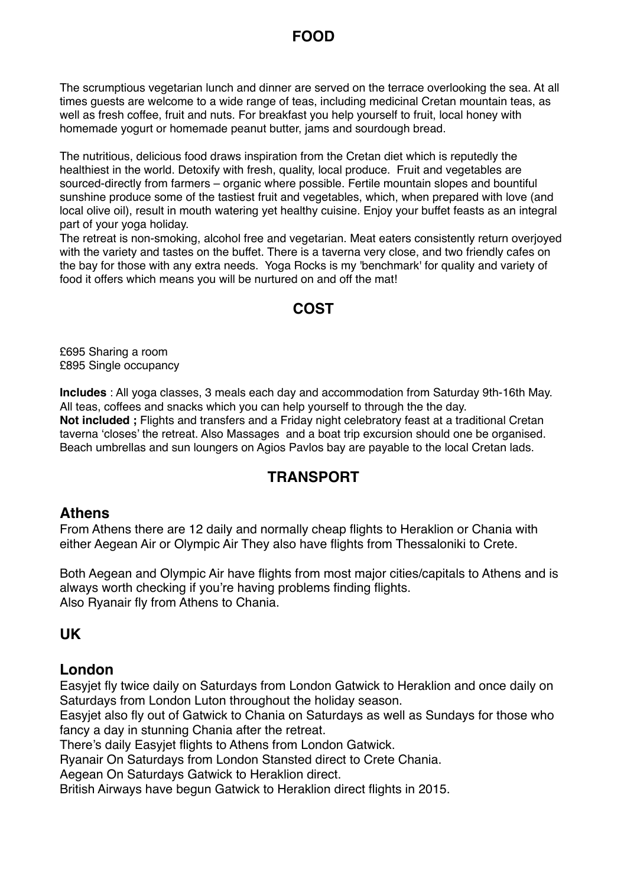## **FOOD**

The scrumptious vegetarian lunch and dinner are served on the terrace overlooking the sea. At all times guests are welcome to a wide range of teas, including medicinal Cretan mountain teas, as well as fresh coffee, fruit and nuts. For breakfast you help yourself to fruit, local honey with homemade yogurt or homemade peanut butter, jams and sourdough bread.

The nutritious, delicious food draws inspiration from the Cretan diet which is reputedly the healthiest in the world. Detoxify with fresh, quality, local produce. Fruit and vegetables are sourced-directly from farmers – organic where possible. Fertile mountain slopes and bountiful sunshine produce some of the tastiest fruit and vegetables, which, when prepared with love (and local olive oil), result in mouth watering yet healthy cuisine. Enjoy your buffet feasts as an integral part of your yoga holiday.

The retreat is non-smoking, alcohol free and vegetarian. Meat eaters consistently return overjoyed with the variety and tastes on the buffet. There is a taverna very close, and two friendly cafes on the bay for those with any extra needs. Yoga Rocks is my 'benchmark' for quality and variety of food it offers which means you will be nurtured on and off the mat!

### **COST**

£695 Sharing a room £895 Single occupancy

**Includes** : All yoga classes, 3 meals each day and accommodation from Saturday 9th-16th May. All teas, coffees and snacks which you can help yourself to through the the day. **Not included ;** Flights and transfers and a Friday night celebratory feast at a traditional Cretan taverna 'closes' the retreat. Also Massages and a boat trip excursion should one be organised. Beach umbrellas and sun loungers on Agios Pavlos bay are payable to the local Cretan lads.

## **TRANSPORT**

#### **Athens**

From Athens there are 12 daily and normally cheap flights to Heraklion or Chania with either Aegean Air or Olympic Air They also have flights from Thessaloniki to Crete.

Both Aegean and Olympic Air have flights from most major cities/capitals to Athens and is always worth checking if you're having problems finding flights. Also Ryanair fly from Athens to Chania.

#### **UK**

#### **London**

Easyjet fly twice daily on Saturdays from London Gatwick to Heraklion and once daily on Saturdays from London Luton throughout the holiday season.

Easyjet also fly out of Gatwick to Chania on Saturdays as well as Sundays for those who fancy a day in stunning Chania after the retreat.

There's daily Easyjet flights to Athens from London Gatwick.

Ryanair On Saturdays from London Stansted direct to Crete Chania.

Aegean On Saturdays Gatwick to Heraklion direct.

British Airways have begun Gatwick to Heraklion direct flights in 2015.